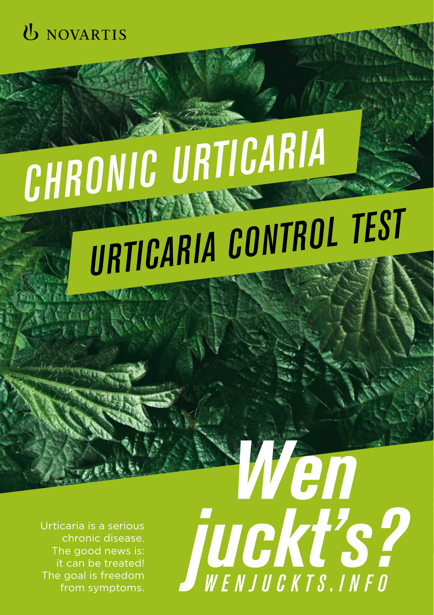

# *CHRONIC URTICARIA*

## *URTICARIA CONTROL TEST*

Urticaria is a serious chronic disease. The good news is: it can be treated! The goal is freedom from symptoms.

Wen JUCKT'S?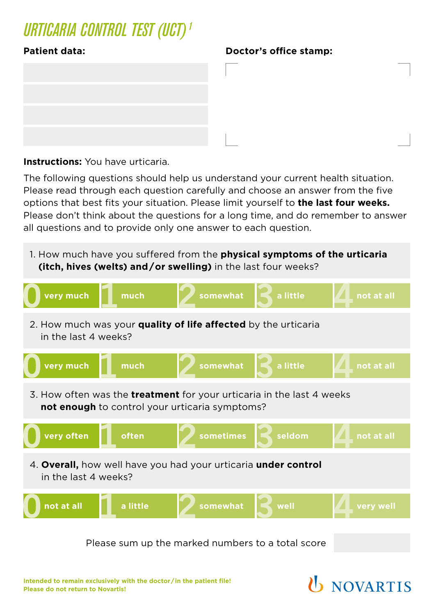## *URTICARIA CONTROL TEST (UCT) <sup>1</sup>*



### **Patient data: Doctor's office stamp:**

**Instructions:** You have urticaria.

The following questions should help us understand your current health situation. Please read through each question carefully and choose an answer from the five options that best fits your situation. Please limit yourself to **the last four weeks.** Please don't think about the questions for a long time, and do remember to answer all questions and to provide only one answer to each question.



Please sum up the marked numbers to a total score

**U** NOVARTIS